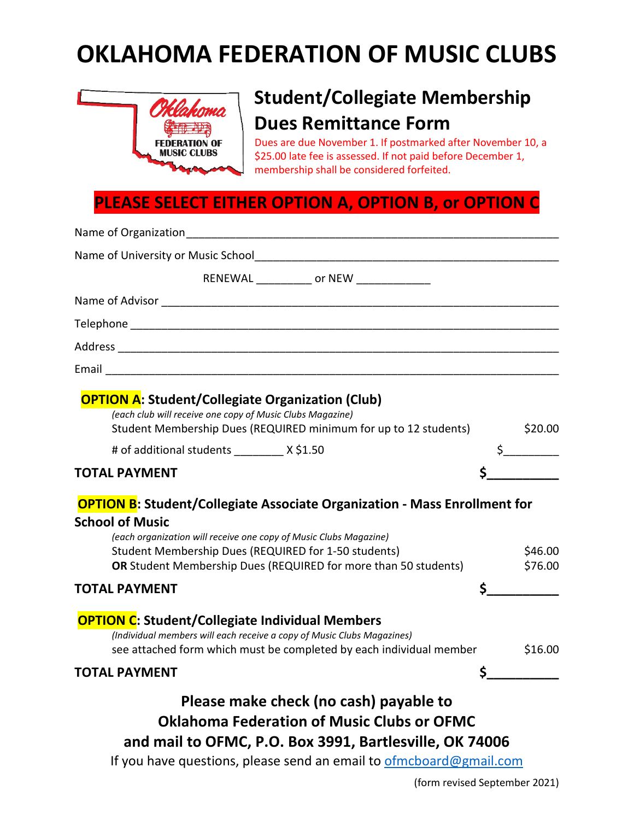## **OKLAHOMA FEDERATION OF MUSIC CLUBS**



## **Student/Collegiate Membership Dues Remittance Form**

Dues are due November 1. If postmarked after November 10, a \$25.00 late fee is assessed. If not paid before December 1, membership shall be considered forfeited.

## **PLEASE SELECT EITHER OPTION A, OPTION B, or OPTION C**

| Name of University or Music School<br>Name of University or Music School                                                                                                                                                                                                                                   |                    |
|------------------------------------------------------------------------------------------------------------------------------------------------------------------------------------------------------------------------------------------------------------------------------------------------------------|--------------------|
| RENEWAL _____________ or NEW _______________                                                                                                                                                                                                                                                               |                    |
|                                                                                                                                                                                                                                                                                                            |                    |
|                                                                                                                                                                                                                                                                                                            |                    |
|                                                                                                                                                                                                                                                                                                            |                    |
| Email 2008 - 2008 - 2008 - 2010 - 2010 - 2010 - 2011 - 2012 - 2012 - 2012 - 2013 - 2014 - 2014 - 2014 - 2014 -                                                                                                                                                                                             |                    |
| <b>OPTION A: Student/Collegiate Organization (Club)</b><br>(each club will receive one copy of Music Clubs Magazine)<br>Student Membership Dues (REQUIRED minimum for up to 12 students)                                                                                                                   | \$20.00            |
| # of additional students ___________ X \$1.50                                                                                                                                                                                                                                                              | $\frac{1}{2}$      |
| <b>TOTAL PAYMENT</b>                                                                                                                                                                                                                                                                                       |                    |
| <b>OPTION B:</b> Student/Collegiate Associate Organization - Mass Enrollment for<br><b>School of Music</b><br>(each organization will receive one copy of Music Clubs Magazine)<br>Student Membership Dues (REQUIRED for 1-50 students)<br>OR Student Membership Dues (REQUIRED for more than 50 students) | \$46.00<br>\$76.00 |
| <b>TOTAL PAYMENT</b>                                                                                                                                                                                                                                                                                       | \$                 |
| <b>OPTION C:</b> Student/Collegiate Individual Members<br>(Individual members will each receive a copy of Music Clubs Magazines)<br>see attached form which must be completed by each individual member                                                                                                    | \$16.00            |
| <b>TOTAL PAYMENT</b>                                                                                                                                                                                                                                                                                       | $\sim$             |
| Please make check (no cash) payable to<br><b>Oklahoma Federation of Music Clubs or OFMC</b><br>and mail to OFMC, P.O. Box 3991, Bartlesville, OK 74006                                                                                                                                                     |                    |

If you have questions, please send an email to **ofmcboard@gmail.com**